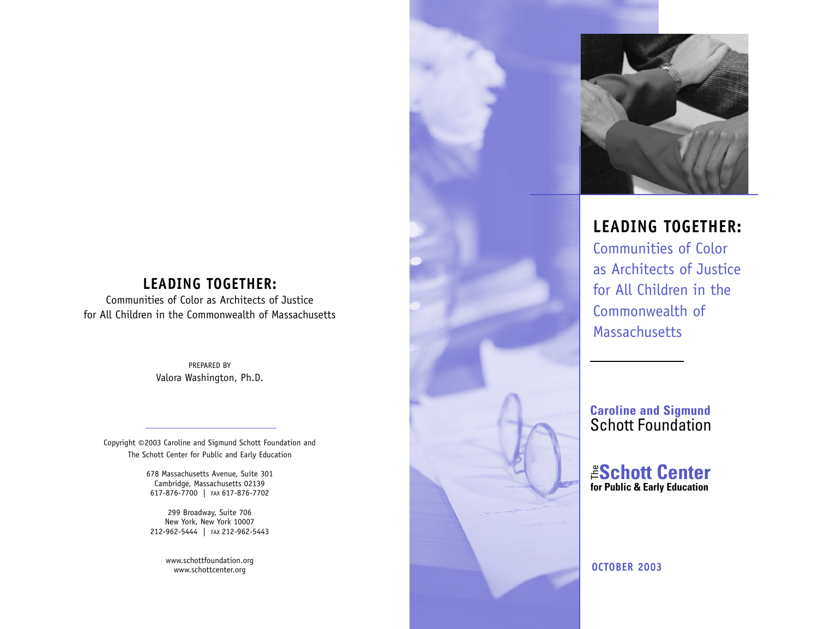## **LEADING TOGETHER:**

Communities of Color as Architects of Justice for All Children in the Commonwealth of Massachusetts

> PREPARED BY Valora Washington, Ph.D.

Copyright ©2003 Caroline and Sigmund Schott Foundation and The Schott Center for Public and Early Education

> 678 Massachusetts Avenue, Suite 301 Cambridge, Massachusetts 02139 617-876-7700 | FAX 617-876-7702

299 Broadway, Suite 706 New York, New York 10007 212-962-5444 | FAX 212-962-5443

> www.schottfoundation.org www.schottcenter.org



# **LEADING TOGETHER:**

Communities of Color as Architects of Justice for All Children in the Commonwealth of Massachusetts

**Caroline and Sigmund** Schott Foundation

**for Public & Early Education** The **Schott Center**

**OCTOBER 2003**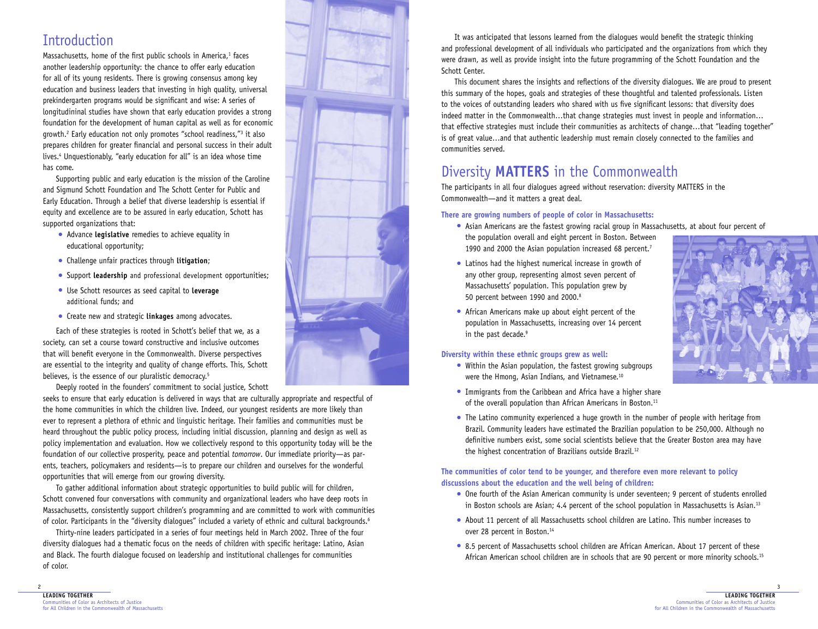# Introduction

Massachusetts, home of the first public schools in America, $1$  faces another leadership opportunity: the chance to offer early education for all of its young residents. There is growing consensus among key education and business leaders that investing in high quality, universal prekindergarten programs would be significant and wise: A series of longitudininal studies have shown that early education provides a strong foundation for the development of human capital as well as for economic growth.2 Early education not only promotes "school readiness,"3 it also prepares children for greater financial and personal success in their adult lives.4 Unquestionably, "early education for all" is an idea whose time has come.

Supporting public and early education is the mission of the Caroline and Sigmund Schott Foundation and The Schott Center for Public and Early Education. Through a belief that diverse leadership is essential if equity and excellence are to be assured in early education, Schott has supported organizations that:

- Advance **legislative** remedies to achieve equality in educational opportunity;
- Challenge unfair practices through **litigation**;
- Support **leadership** and professional development opportunities;
- Use Schott resources as seed capital to **leverage**  additional funds; and
- Create new and strategic **linkages** among advocates.

Each of these strategies is rooted in Schott's belief that we, as a society, can set a course toward constructive and inclusive outcomes that will benefit everyone in the Commonwealth. Diverse perspectives are essential to the integrity and quality of change efforts. This, Schott believes, is the essence of our pluralistic democracy.<sup>5</sup>

Deeply rooted in the founders' commitment to social justice, Schott

seeks to ensure that early education is delivered in ways that are culturally appropriate and respectful of the home communities in which the children live. Indeed, our youngest residents are more likely than ever to represent a plethora of ethnic and linguistic heritage. Their families and communities must be heard throughout the public policy process, including initial discussion, planning and design as well as policy implementation and evaluation. How we collectively respond to this opportunity today will be the foundation of our collective prosperity, peace and potential *tomorrow*. Our immediate priority—as parents, teachers, policymakers and residents—is to prepare our children and ourselves for the wonderful opportunities that will emerge from our growing diversity.

To gather additional information about strategic opportunities to build public will for children, Schott convened four conversations with community and organizational leaders who have deep roots in Massachusetts, consistently support children's programming and are committed to work with communities of color. Participants in the "diversity dialogues" included a variety of ethnic and cultural backgrounds.6

Thirty-nine leaders participated in a series of four meetings held in March 2002. Three of the four diversity dialogues had a thematic focus on the needs of children with specific heritage: Latino, Asian and Black. The fourth dialogue focused on leadership and institutional challenges for communities of color.



It was anticipated that lessons learned from the dialogues would benefit the strategic thinking and professional development of all individuals who participated and the organizations from which they were drawn, as well as provide insight into the future programming of the Schott Foundation and the Schott Center.

This document shares the insights and reflections of the diversity dialogues. We are proud to present this summary of the hopes, goals and strategies of these thoughtful and talented professionals. Listen to the voices of outstanding leaders who shared with us five significant lessons: that diversity does indeed matter in the Commonwealth…that change strategies must invest in people and information… that effective strategies must include their communities as architects of change…that "leading together" is of great value…and that authentic leadership must remain closely connected to the families and communities served.

# Diversity **MATTERS** in the Commonwealth

The participants in all four dialogues agreed without reservation: diversity MATTERS in the Commonwealth—and it matters a great deal.

### **There are growing numbers of people of color in Massachusetts:**

- Asian Americans are the fastest growing racial group in Massachusetts, at about four percent of the population overall and eight percent in Boston. Between 1990 and 2000 the Asian population increased 68 percent.<sup>7</sup>
- Latinos had the highest numerical increase in growth of any other group, representing almost seven percent of Massachusetts' population. This population grew by 50 percent between 1990 and 2000.8
- African Americans make up about eight percent of the population in Massachusetts, increasing over 14 percent in the past decade.<sup>9</sup>

### **Diversity within these ethnic groups grew as well:**

• Within the Asian population, the fastest growing subgroups were the Hmong, Asian Indians, and Vietnamese.<sup>10</sup>



- Immigrants from the Caribbean and Africa have a higher share of the overall population than African Americans in Boston.<sup>11</sup>
- The Latino community experienced a huge growth in the number of people with heritage from Brazil. Community leaders have estimated the Brazilian population to be 250,000. Although no definitive numbers exist, some social scientists believe that the Greater Boston area may have the highest concentration of Brazilians outside Brazil.12

### **The communities of color tend to be younger, and therefore even more relevant to policy discussions about the education and the well being of children:**

- One fourth of the Asian American community is under seventeen; 9 percent of students enrolled in Boston schools are Asian; 4.4 percent of the school population in Massachusetts is Asian.<sup>13</sup>
- About 11 percent of all Massachusetts school children are Latino. This number increases to over 28 percent in Boston.<sup>14</sup>
- 8.5 percent of Massachusetts school children are African American. About 17 percent of these African American school children are in schools that are 90 percent or more minority schools.<sup>15</sup>

2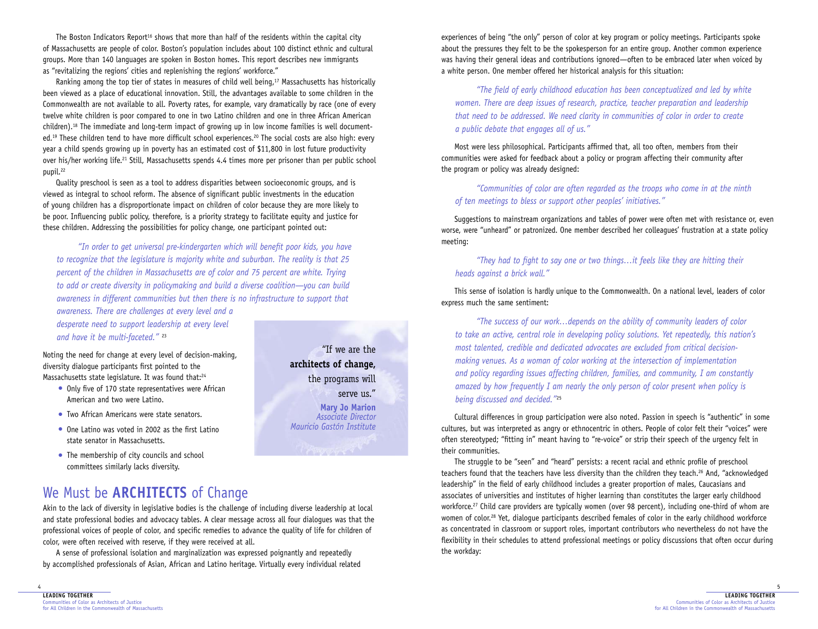The Boston Indicators Report<sup>16</sup> shows that more than half of the residents within the capital city of Massachusetts are people of color. Boston's population includes about 100 distinct ethnic and cultural groups. More than 140 languages are spoken in Boston homes. This report describes new immigrants as "revitalizing the regions' cities and replenishing the regions' workforce."

Ranking among the top tier of states in measures of child well being,<sup>17</sup> Massachusetts has historically been viewed as a place of educational innovation. Still, the advantages available to some children in the Commonwealth are not available to all. Poverty rates, for example, vary dramatically by race (one of every twelve white children is poor compared to one in two Latino children and one in three African American children).18 The immediate and long-term impact of growing up in low income families is well documented.<sup>19</sup> These children tend to have more difficult school experiences.<sup>20</sup> The social costs are also high: every year a child spends growing up in poverty has an estimated cost of \$11,800 in lost future productivity over his/her working life.21 Still, Massachusetts spends 4.4 times more per prisoner than per public school pupil.<sup>22</sup>

Quality preschool is seen as a tool to address disparities between socioeconomic groups, and is viewed as integral to school reform. The absence of significant public investments in the education of young children has a disproportionate impact on children of color because they are more likely to be poor. Influencing public policy, therefore, is a priority strategy to facilitate equity and justice for these children. Addressing the possibilities for policy change, one participant pointed out:

*"In order to get universal pre-kindergarten which will benefit poor kids, you have to recognize that the legislature is majority white and suburban. The reality is that 25 percent of the children in Massachusetts are of color and 75 percent are white. Trying to add or create diversity in policymaking and build a diverse coalition—you can build awareness in different communities but then there is no infrastructure to support that awareness. There are challenges at every level and a*

*desperate need to support leadership at every level and have it be multi-faceted."* <sup>23</sup>

Noting the need for change at every level of decision-making, diversity dialogue participants first pointed to the Massachusetts state legislature. It was found that:<sup>24</sup>

- Only five of 170 state representatives were African American and two were Latino.
- Two African Americans were state senators.
- One Latino was voted in 2002 as the first Latino state senator in Massachusetts.
- The membership of city councils and school committees similarly lacks diversity.

"If we are the **architects of change,** the programs will serve us." **Mary Jo Marion** *Associate Director Mauricio Gastón Institute* experiences of being "the only" person of color at key program or policy meetings. Participants spoke about the pressures they felt to be the spokesperson for an entire group. Another common experience was having their general ideas and contributions ignored—often to be embraced later when voiced by a white person. One member offered her historical analysis for this situation:

*"The field of early childhood education has been conceptualized and led by white women. There are deep issues of research, practice, teacher preparation and leadership that need to be addressed. We need clarity in communities of color in order to create a public debate that engages all of us."*

Most were less philosophical. Participants affirmed that, all too often, members from their communities were asked for feedback about a policy or program affecting their community after the program or policy was already designed:

*"Communities of color are often regarded as the troops who come in at the ninth of ten meetings to bless or support other peoples' initiatives."*

Suggestions to mainstream organizations and tables of power were often met with resistance or, even worse, were "unheard" or patronized. One member described her colleagues' frustration at a state policy meeting:

*"They had to fight to say one or two things…it feels like they are hitting their heads against a brick wall."*

This sense of isolation is hardly unique to the Commonwealth. On a national level, leaders of color express much the same sentiment:

*"The success of our work…depends on the ability of community leaders of color to take an active, central role in developing policy solutions. Yet repeatedly, this nation's most talented, credible and dedicated advocates are excluded from critical decisionmaking venues. As a woman of color working at the intersection of implementation and policy regarding issues affecting children, families, and community, I am constantly amazed by how frequently I am nearly the only person of color present when policy is being discussed and decided."*<sup>25</sup>

Cultural differences in group participation were also noted. Passion in speech is "authentic" in some cultures, but was interpreted as angry or ethnocentric in others. People of color felt their "voices" were often stereotyped; "fitting in" meant having to "re-voice" or strip their speech of the urgency felt in their communities.

The struggle to be "seen" and "heard" persists: a recent racial and ethnic profile of preschool teachers found that the teachers have less diversity than the children they teach.26 And, "acknowledged leadership" in the field of early childhood includes a greater proportion of males, Caucasians and associates of universities and institutes of higher learning than constitutes the larger early childhood workforce.<sup>27</sup> Child care providers are typically women (over 98 percent), including one-third of whom are women of color.<sup>28</sup> Yet, dialogue participants described females of color in the early childhood workforce as concentrated in classroom or support roles, important contributors who nevertheless do not have the flexibility in their schedules to attend professional meetings or policy discussions that often occur during the workday:

We Must be **ARCHITECTS** of Change

Akin to the lack of diversity in legislative bodies is the challenge of including diverse leadership at local and state professional bodies and advocacy tables. A clear message across all four dialogues was that the professional voices of people of color, and specific remedies to advance the quality of life for children of color, were often received with reserve, if they were received at all.

A sense of professional isolation and marginalization was expressed poignantly and repeatedly by accomplished professionals of Asian, African and Latino heritage. Virtually every individual related

4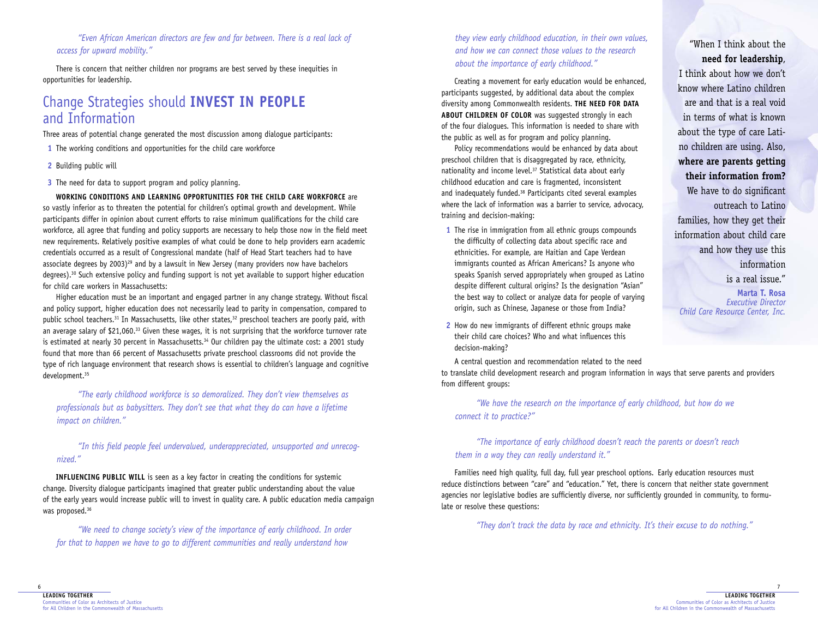### *"Even African American directors are few and far between. There is a real lack of access for upward mobility."*

There is concern that neither children nor programs are best served by these inequities in opportunities for leadership.

## Change Strategies should **INVEST IN PEOPLE** and Information

Three areas of potential change generated the most discussion among dialogue participants:

- **1** The working conditions and opportunities for the child care workforce
- **2** Building public will
- **3** The need for data to support program and policy planning.

**WORKING CONDITIONS AND LEARNING OPPORTUNITIES FOR THE CHILD CARE WORKFORCE** are so vastly inferior as to threaten the potential for children's optimal growth and development. While participants differ in opinion about current efforts to raise minimum qualifications for the child care workforce, all agree that funding and policy supports are necessary to help those now in the field meet new requirements. Relatively positive examples of what could be done to help providers earn academic credentials occurred as a result of Congressional mandate (half of Head Start teachers had to have associate degrees by 2003)<sup>29</sup> and by a lawsuit in New Jersey (many providers now have bachelors degrees).30 Such extensive policy and funding support is not yet available to support higher education for child care workers in Massachusetts:

Higher education must be an important and engaged partner in any change strategy. Without fiscal and policy support, higher education does not necessarily lead to parity in compensation, compared to public school teachers.<sup>31</sup> In Massachusetts, like other states,<sup>32</sup> preschool teachers are poorly paid, with an average salary of \$21,060.<sup>33</sup> Given these wages, it is not surprising that the workforce turnover rate is estimated at nearly 30 percent in Massachusetts.<sup>34</sup> Our children pay the ultimate cost: a 2001 study found that more than 66 percent of Massachusetts private preschool classrooms did not provide the type of rich language environment that research shows is essential to children's language and cognitive development.35

*"The early childhood workforce is so demoralized. They don't view themselves as professionals but as babysitters. They don't see that what they do can have a lifetime impact on children."*

### *"In this field people feel undervalued, underappreciated, unsupported and unrecognized."*

**INFLUENCING PUBLIC WILL** is seen as a key factor in creating the conditions for systemic change. Diversity dialogue participants imagined that greater public understanding about the value of the early years would increase public will to invest in quality care. A public education media campaign was proposed.<sup>36</sup>

*"We need to change society's view of the importance of early childhood. In order for that to happen we have to go to different communities and really understand how*

*they view early childhood education, in their own values, and how we can connect those values to the research about the importance of early childhood."*

Creating a movement for early education would be enhanced, participants suggested, by additional data about the complex diversity among Commonwealth residents. **THE NEED FOR DATA ABOUT CHILDREN OF COLOR** was suggested strongly in each of the four dialogues. This information is needed to share with the public as well as for program and policy planning.

Policy recommendations would be enhanced by data about preschool children that is disaggregated by race, ethnicity, nationality and income level.<sup>37</sup> Statistical data about early childhood education and care is fragmented, inconsistent and inadequately funded.<sup>38</sup> Participants cited several examples where the lack of information was a barrier to service, advocacy, training and decision-making:

- **1** The rise in immigration from all ethnic groups compounds the difficulty of collecting data about specific race and ethnicities. For example, are Haitian and Cape Verdean immigrants counted as African Americans? Is anyone who speaks Spanish served appropriately when grouped as Latino despite different cultural origins? Is the designation "Asian" the best way to collect or analyze data for people of varying origin, such as Chinese, Japanese or those from India?
- **2** How do new immigrants of different ethnic groups make their child care choices? Who and what influences this decision-making?

A central question and recommendation related to the need

to translate child development research and program information in ways that serve parents and providers from different groups:

*"We have the research on the importance of early childhood, but how do we connect it to practice?"*

*"The importance of early childhood doesn't reach the parents or doesn't reach them in a way they can really understand it."*

Families need high quality, full day, full year preschool options. Early education resources must reduce distinctions between "care" and "education." Yet, there is concern that neither state government agencies nor legislative bodies are sufficiently diverse, nor sufficiently grounded in community, to formulate or resolve these questions:

*"They don't track the data by race and ethnicity. It's their excuse to do nothing."*

## "When I think about the **need for leadership**,

I think about how we don't know where Latino children are and that is a real void in terms of what is known about the type of care Latino children are using. Also, **where are parents getting their information from?** We have to do significant outreach to Latino families, how they get their information about child care and how they use this information is a real issue." **Marta T. Rosa**

*Executive Director Child Care Resource Center, Inc.*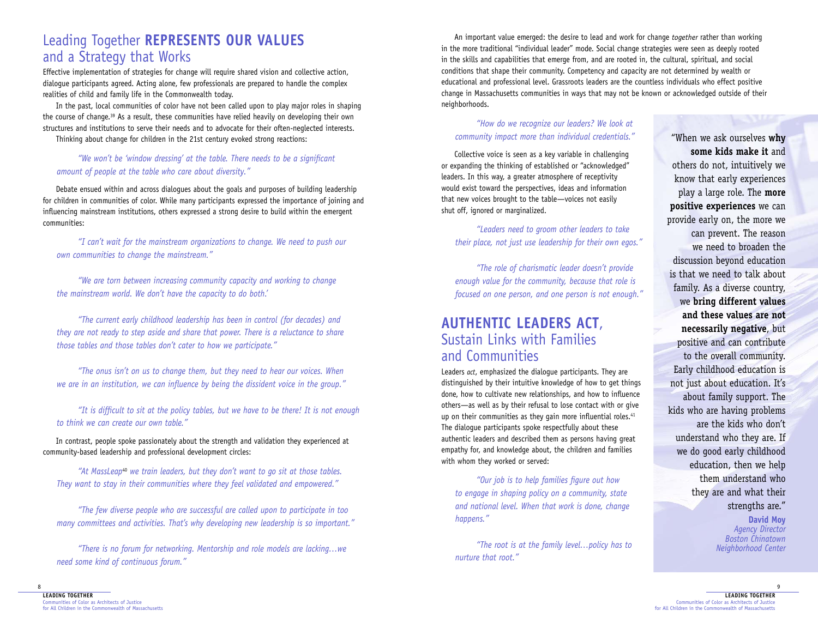## Leading Together **REPRESENTS OUR VALUES** and a Strategy that Works

Effective implementation of strategies for change will require shared vision and collective action, dialogue participants agreed. Acting alone, few professionals are prepared to handle the complex realities of child and family life in the Commonwealth today.

In the past, local communities of color have not been called upon to play major roles in shaping the course of change.<sup>39</sup> As a result, these communities have relied heavily on developing their own structures and institutions to serve their needs and to advocate for their often-neglected interests.

Thinking about change for children in the 21st century evoked strong reactions:

### *"We won't be 'window dressing' at the table. There needs to be a significant amount of people at the table who care about diversity."*

Debate ensued within and across dialogues about the goals and purposes of building leadership for children in communities of color. While many participants expressed the importance of joining and influencing mainstream institutions, others expressed a strong desire to build within the emergent communities:

*"I can't wait for the mainstream organizations to change. We need to push our own communities to change the mainstream."*

*"We are torn between increasing community capacity and working to change the mainstream world. We don't have the capacity to do both.'*

*"The current early childhood leadership has been in control (for decades) and they are not ready to step aside and share that power. There is a reluctance to share those tables and those tables don't cater to how we participate."*

*"The onus isn't on us to change them, but they need to hear our voices. When we are in an institution, we can influence by being the dissident voice in the group."*

*"It is difficult to sit at the policy tables, but we have to be there! It is not enough* to think we can create our own table.

In contrast, people spoke passionately about the strength and validation they experienced at community-based leadership and professional development circles:

*"At MassLeap*<sup>40</sup> *we train leaders, but they don't want to go sit at those tables. They want to stay in their communities where they feel validated and empowered."*

*"The few diverse people who are successful are called upon to participate in too many committees and activities. That's why developing new leadership is so important."*

*"There is no forum for networking. Mentorship and role models are lacking…we need some kind of continuous forum."*

An important value emerged: the desire to lead and work for change *together* rather than working in the more traditional "individual leader" mode. Social change strategies were seen as deeply rooted in the skills and capabilities that emerge from, and are rooted in, the cultural, spiritual, and social conditions that shape their community. Competency and capacity are not determined by wealth or educational and professional level. Grassroots leaders are the countless individuals who effect positive change in Massachusetts communities in ways that may not be known or acknowledged outside of their neighborhoods.

*"How do we recognize our leaders? We look at community impact more than individual credentials."*

Collective voice is seen as a key variable in challenging or expanding the thinking of established or "acknowledged" leaders. In this way, a greater atmosphere of receptivity would exist toward the perspectives, ideas and information that new voices brought to the table—voices not easily shut off, ignored or marginalized.

*"Leaders need to groom other leaders to take their place, not just use leadership for their own egos."*

*"The role of charismatic leader doesn't provide enough value for the community, because that role is focused on one person, and one person is not enough."*

## **AUTHENTIC LEADERS ACT**, Sustain Links with Families and Communities

Leaders *act*, emphasized the dialogue participants. They are distinguished by their intuitive knowledge of how to get things done, how to cultivate new relationships, and how to influence others—as well as by their refusal to lose contact with or give up on their communities as they gain more influential roles.<sup>41</sup> The dialogue participants spoke respectfully about these authentic leaders and described them as persons having great empathy for, and knowledge about, the children and families with whom they worked or served:

*"Our job is to help families figure out how to engage in shaping policy on a community, state and national level. When that work is done, change happens."*

*"The root is at the family level…policy has to nurture that root."*

"When we ask ourselves **why some kids make it** and others do not, intuitively we know that early experiences play a large role. The **more positive experiences** we can provide early on, the more we can prevent. The reason we need to broaden the discussion beyond education is that we need to talk about family. As a diverse country, we **bring different values and these values are not necessarily negative**, but positive and can contribute to the overall community. Early childhood education is not just about education. It's about family support. The kids who are having problems are the kids who don't understand who they are. If we do good early childhood education, then we help them understand who they are and what their strengths are." **David Moy**

*Agency Director Boston Chinatown Neighborhood Center*

9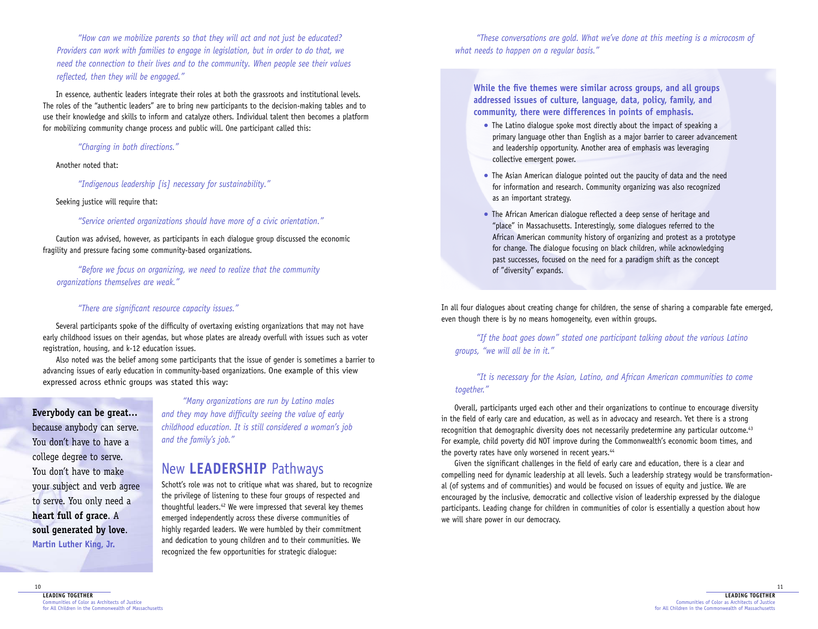*"How can we mobilize parents so that they will act and not just be educated? Providers can work with families to engage in legislation, but in order to do that, we need the connection to their lives and to the community. When people see their values reflected, then they will be engaged."*

In essence, authentic leaders integrate their roles at both the grassroots and institutional levels. The roles of the "authentic leaders" are to bring new participants to the decision-making tables and to use their knowledge and skills to inform and catalyze others. Individual talent then becomes a platform for mobilizing community change process and public will. One participant called this:

*"Charging in both directions."*

#### Another noted that:

*"Indigenous leadership [is] necessary for sustainability."*

Seeking justice will require that:

*"Service oriented organizations should have more of a civic orientation."*

Caution was advised, however, as participants in each dialogue group discussed the economic fragility and pressure facing some community-based organizations.

*"Before we focus on organizing, we need to realize that the community organizations themselves are weak."*

### *"There are significant resource capacity issues."*

Several participants spoke of the difficulty of overtaxing existing organizations that may not have early childhood issues on their agendas, but whose plates are already overfull with issues such as voter registration, housing, and k-12 education issues.

Also noted was the belief among some participants that the issue of gender is sometimes a barrier to advancing issues of early education in community-based organizations. One example of this view expressed across ethnic groups was stated this way:

**Everybody can be great…** because anybody can serve. You don't have to have a college degree to serve. You don't have to make your subject and verb agree to serve. You only need a **heart full of grace**. A **soul generated by love**. **Martin Luther King, Jr.**

*"Many organizations are run by Latino males and they may have difficulty seeing the value of early childhood education. It is still considered a woman's job and the family's job."*

## New **LEADERSHIP** Pathways

Schott's role was not to critique what was shared, but to recognize the privilege of listening to these four groups of respected and thoughtful leaders.<sup>42</sup> We were impressed that several key themes emerged independently across these diverse communities of highly regarded leaders. We were humbled by their commitment and dedication to young children and to their communities. We recognized the few opportunities for strategic dialogue:

*"These conversations are gold. What we've done at this meeting is a microcosm of what needs to happen on a regular basis."*

**While the five themes were similar across groups, and all groups addressed issues of culture, language, data, policy, family, and community, there were differences in points of emphasis.** 

- The Latino dialoque spoke most directly about the impact of speaking a primary language other than English as a major barrier to career advancement and leadership opportunity. Another area of emphasis was leveraging collective emergent power.
- The Asian American dialogue pointed out the paucity of data and the need for information and research. Community organizing was also recognized as an important strategy.
- The African American dialogue reflected a deep sense of heritage and "place" in Massachusetts. Interestingly, some dialogues referred to the African American community history of organizing and protest as a prototype for change. The dialogue focusing on black children, while acknowledging past successes, focused on the need for a paradigm shift as the concept of "diversity" expands.

In all four dialogues about creating change for children, the sense of sharing a comparable fate emerged, even though there is by no means homogeneity, even within groups.

*"If the boat goes down" stated one participant talking about the various Latino groups, "we will all be in it."*

### *"It is necessary for the Asian, Latino, and African American communities to come together."*

Overall, participants urged each other and their organizations to continue to encourage diversity in the field of early care and education, as well as in advocacy and research. Yet there is a strong recognition that demographic diversity does not necessarily predetermine any particular outcome.<sup>43</sup> For example, child poverty did NOT improve during the Commonwealth's economic boom times, and the poverty rates have only worsened in recent years.<sup>44</sup>

Given the significant challenges in the field of early care and education, there is a clear and compelling need for dynamic leadership at all levels. Such a leadership strategy would be transformational (of systems and of communities) and would be focused on issues of equity and justice. We are encouraged by the inclusive, democratic and collective vision of leadership expressed by the dialogue participants. Leading change for children in communities of color is essentially a question about how we will share power in our democracy.

10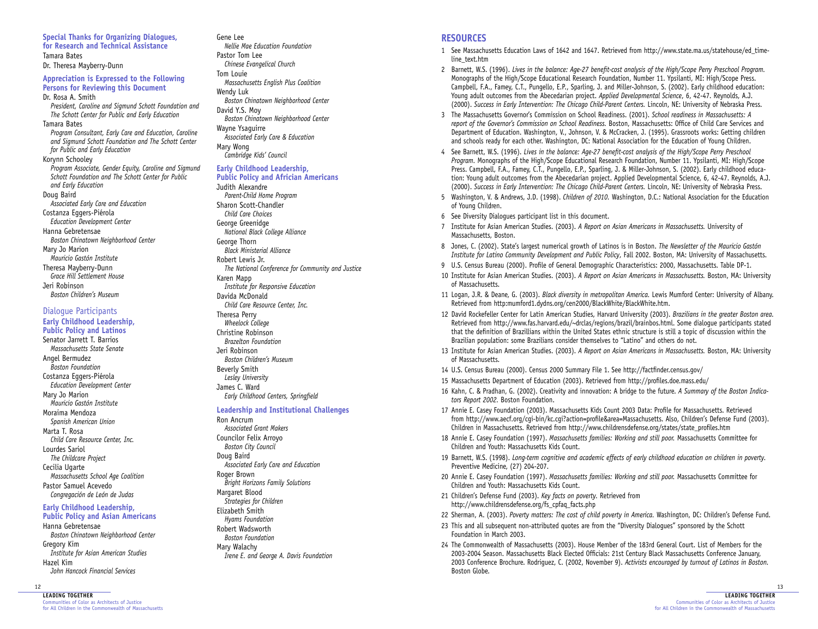**for Research and Technical Assistance** Tamara Bates Dr. Theresa Mayberry-Dunn **Appreciation is Expressed to the Following Persons for Reviewing this Document** Dr. Rosa A. Smith *President, Caroline and Sigmund Schott Foundation and The Schott Center for Public and Early Education* Tamara Bates *Program Consultant, Early Care and Education, Caroline and Sigmund Schott Foundation and The Schott Center for Public and Early Education*  Korynn Schooley *Program Associate, Gender Equity, Caroline and Sigmund Schott Foundation and The Schott Center for Public and Early Education*  Doug Baird *Associated Early Care and Education* Costanza Eggers-Piérola *Education Development Center* Hanna Gebretensae *Boston Chinatown Neighborhood Center*  Mary Jo Marion *Mauricio Gastón Institute* Theresa Mayberry-Dunn *Grace Hill Settlement House* Jeri Robinson *Boston Children's Museum*

**Special Thanks for Organizing Dialogues,** 

#### Dialogue Participants

**Early Childhood Leadership, Public Policy and Latinos** Senator Jarrett T. Barrios *Massachusetts State Senate* Angel Bermudez *Boston Foundation* Costanza Eggers-Piérola *Education Development Center* Mary Jo Marion *Mauricio Gastón Institute* Moraima Mendoza *Spanish American Union* Marta T. Rosa *Child Care Resource Center, Inc.* Lourdes Sariol *The Childcare Project* Cecilia Ugarte *Massachusetts School Age Coalition* Pastor Samuel Acevedo *Congregación de León de Judas* 

#### **Early Childhood Leadership, Public Policy and Asian Americans**

Hanna Gebretensae *Boston Chinatown Neighborhood Center* Gregory Kim *Institute for Asian American Studies* Hazel Kim *John Hancock Financial Services*

#### 12

**LEADING TOGETHER** ities of Color as Architects of Justice for All Children in the Commonwealth of Massachusetts

### Gene Lee

*Nellie Mae Education Foundation* Pastor Tom Lee *Chinese Evangelical Church* Tom Louie *Massachusetts English Plus Coalition* Wendy Luk *Boston Chinatown Neighborhood Center* David Y.S. Moy *Boston Chinatown Neighborhood Center*

Wayne Ysaguirre *Associated Early Care & Education* Mary Wong

*Cambridge Kids' Council*

#### **Early Childhood Leadership, Public Policy and Africian Americans**

Judith Alexandre *Parent-Child Home Program* Sharon Scott-Chandler *Child Care Choices* George Greenidge *National Black College Alliance* George Thorn *Black Ministerial Alliance* Robert Lewis Jr. *The National Conference for Community and Justice* Karen Mapp *Institute for Responsive Education* Davida McDonald *Child Care Resource Center, Inc.* Theresa Perry *Wheelock College* Christine Robinson *Brazelton Foundation* Jeri Robinson *Boston Children's Museum* Beverly Smith *Lesley University* James C. Ward

*Early Childhood Centers, Springfield*

#### **Leadership and Institutional Challenges**

Ron Ancrum *Associated Grant Makers* Councilor Felix Arroyo *Boston City Council* Doug Baird *Associated Early Care and Education* Roger Brown *Bright Horizons Family Solutions* Margaret Blood *Strategies for Children* Elizabeth Smith *Hyams Foundation* Robert Wadsworth *Boston Foundation* Mary Walachy *Irene E. and George A. Davis Foundation*

### **RESOURCES**

- 1 See Massachusetts Education Laws of 1642 and 1647. Retrieved from http://www.state.ma.us/statehouse/ed\_timeline\_text.htm
- 2 Barnett, W.S. (1996). *Lives in the balance: Age-27 benefit-cost analysis of the High/Scope Perry Preschool Program.* Monographs of the High/Scope Educational Research Foundation, Number 11. Ypsilanti, MI: High/Scope Press. Campbell, F.A., Famey, C.T., Pungello, E.P., Sparling, J. and Miller-Johnson, S. (2002). Early childhood education: Young adult outcomes from the Abecedarian project. *Applied Developmental Science*, 6, 42-47. Reynolds, A.J. (2000). *Success in Early Intervention: The Chicago Child-Parent Centers.* Lincoln, NE: University of Nebraska Press.
- 3 The Massachusetts Governor's Commission on School Readiness. (2001). *School readiness in Massachusetts: A report of the Governor's Commission on School Readiness.* Boston, Massachusetts: Office of Child Care Services and Department of Education. Washington, V., Johnson, V. & McCracken, J. (1995). Grassroots works: Getting children and schools ready for each other. Washington, DC: National Association for the Education of Young Children.
- 4 See Barnett, W.S. (1996). *Lives in the balance: Age-27 benefit-cost analysis of the High/Scope Perry Preschool Program.* Monographs of the High/Scope Educational Research Foundation, Number 11. Ypsilanti, MI: High/Scope Press. Campbell, F.A., Famey, C.T., Pungello, E.P., Sparling, J. & Miller-Johnson, S. (2002). Early childhood education: Young adult outcomes from the Abecedarian project. Applied Developmental Science, 6, 42-47. Reynolds, A.J. (2000). *Success in Early Intervention: The Chicago Child-Parent Centers.* Lincoln, NE: University of Nebraska Press.
- 5 Washington, V. & Andrews, J.D. (1998). *Children of 2010.* Washington, D.C.: National Association for the Education of Young Children.
- 6 See Diversity Dialogues participant list in this document.
- 7 Institute for Asian American Studies. (2003). *A Report on Asian Americans in Massachusetts.* University of Massachusetts, Boston.
- 8 Jones, C. (2002). State's largest numerical growth of Latinos is in Boston. *The Newsletter of the Mauricio Gastón Institute for Latino Community Development and Public Policy*, Fall 2002. Boston, MA: University of Massachusetts.
- 9 U.S. Census Bureau (2000). Profile of General Demographic Characteristics: 2000, Massachusetts. Table DP-1.
- 10 Institute for Asian American Studies. (2003). *A Report on Asian Americans in Massachusetts.* Boston, MA: University of Massachusetts.
- 11 Logan, J.R. & Deane, G. (2003). *Black diversity in metropolitan America.* Lewis Mumford Center: University of Albany. Retrieved from http:mumford1.dydns.org/cen2000/BlackWhite/BlackWhite.htm.
- 12 David Rockefeller Center for Latin American Studies, Harvard University (2003). *Brazilians in the greater Boston area.* Retrieved from http://www.fas.harvard.edu/~drclas/regions/brazil/brainbos.html. Some dialogue participants stated that the definition of Brazillians within the United States ethnic structure is still a topic of discussion within the Brazilian population: some Brazilians consider themselves to "Latino" and others do not.
- 13 Institute for Asian American Studies. (2003). *A Report on Asian Americans in Massachusetts.* Boston, MA: University of Massachusetts.
- 14 U.S. Census Bureau (2000). Census 2000 Summary File 1. See http://factfinder.census.gov/
- 15 Massachusetts Department of Education (2003). Retrieved from http://profiles.doe.mass.edu/
- 16 Kahn, C. & Pradhan, G. (2002). Creativity and innovation: A bridge to the future. *A Summary of the Boston Indicators Report 2002.* Boston Foundation.
- 17 Annie E. Casey Foundation (2003). Massachusetts Kids Count 2003 Data: Profile for Massachusetts. Retrieved from http://www.aecf.org/cgi-bin/kc.cgi?action=profile&area=Massachusetts. Also, Children's Defense Fund (2003). Children in Massachusetts. Retrieved from http://www.childrensdefense.org/states/state\_profiles.htm
- 18 Annie E. Casey Foundation (1997). *Massachusetts families: Working and still poor.* Massachusetts Committee for Children and Youth: Massachusetts Kids Count.
- 19 Barnett, W.S. (1998). *Long-term cognitive and academic effects of early childhood education on children in poverty.* Preventive Medicine, (27) 204-207.
- 20 Annie E. Casey Foundation (1997). *Massachusetts families: Working and still poor.* Massachusetts Committee for Children and Youth: Massachusetts Kids Count.
- 21 Children's Defense Fund (2003). *Key facts on poverty.* Retrieved from http://www.childrensdefense.org/fs\_cpfaq\_facts.php
- 22 Sherman, A. (2003). *Poverty matters: The cost of child poverty in America*. Washington, DC: Children's Defense Fund.
- 23 This and all subsequent non-attributed quotes are from the "Diversity Dialogues" sponsored by the Schott Foundation in March 2003.
- 24 The Commonwealth of Massachusetts (2003). House Member of the 183rd General Court. List of Members for the 2003-2004 Season. Massachusetts Black Elected Officials: 21st Century Black Massachusetts Conference January, 2003 Conference Brochure. Rodriguez, C. (2002, November 9). *Activists encouraged by turnout of Latinos in Boston.* Boston Globe.